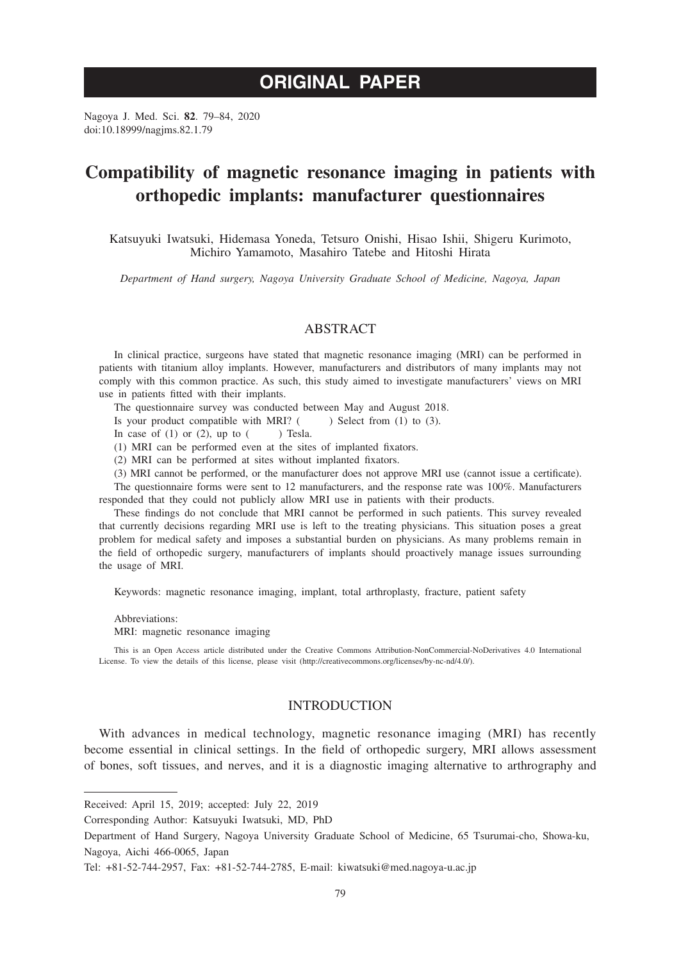# **ORIGINAL PAPER**

Nagoya J. Med. Sci. **82**. 79–84, 2020 doi:10.18999/nagjms.82.1.79

## **Compatibility of magnetic resonance imaging in patients with orthopedic implants: manufacturer questionnaires**

Katsuyuki Iwatsuki, Hidemasa Yoneda, Tetsuro Onishi, Hisao Ishii, Shigeru Kurimoto, Michiro Yamamoto, Masahiro Tatebe and Hitoshi Hirata

*Department of Hand surgery, Nagoya University Graduate School of Medicine, Nagoya, Japan*

#### ABSTRACT

In clinical practice, surgeons have stated that magnetic resonance imaging (MRI) can be performed in patients with titanium alloy implants. However, manufacturers and distributors of many implants may not comply with this common practice. As such, this study aimed to investigate manufacturers' views on MRI use in patients fitted with their implants.

The questionnaire survey was conducted between May and August 2018.<br>Is your product compatible with MRI? () Select from (1) to (3).

Is your product compatible with MRI? (

In case of  $(1)$  or  $(2)$ , up to  $($  ) Tesla.

(1) MRI can be performed even at the sites of implanted fixators.

(2) MRI can be performed at sites without implanted fixators.

(3) MRI cannot be performed, or the manufacturer does not approve MRI use (cannot issue a certificate).

The questionnaire forms were sent to 12 manufacturers, and the response rate was 100%. Manufacturers responded that they could not publicly allow MRI use in patients with their products.

These findings do not conclude that MRI cannot be performed in such patients. This survey revealed that currently decisions regarding MRI use is left to the treating physicians. This situation poses a great problem for medical safety and imposes a substantial burden on physicians. As many problems remain in the field of orthopedic surgery, manufacturers of implants should proactively manage issues surrounding the usage of MRI.

Keywords: magnetic resonance imaging, implant, total arthroplasty, fracture, patient safety

Abbreviations:

MRI: magnetic resonance imaging

This is an Open Access article distributed under the Creative Commons Attribution-NonCommercial-NoDerivatives 4.0 International License. To view the details of this license, please visit (http://creativecommons.org/licenses/by-nc-nd/4.0/).

### INTRODUCTION

With advances in medical technology, magnetic resonance imaging (MRI) has recently become essential in clinical settings. In the field of orthopedic surgery, MRI allows assessment of bones, soft tissues, and nerves, and it is a diagnostic imaging alternative to arthrography and

Received: April 15, 2019; accepted: July 22, 2019

Corresponding Author: Katsuyuki Iwatsuki, MD, PhD

Department of Hand Surgery, Nagoya University Graduate School of Medicine, 65 Tsurumai-cho, Showa-ku, Nagoya, Aichi 466-0065, Japan

Tel: +81-52-744-2957, Fax: +81-52-744-2785, E-mail: kiwatsuki@med.nagoya-u.ac.jp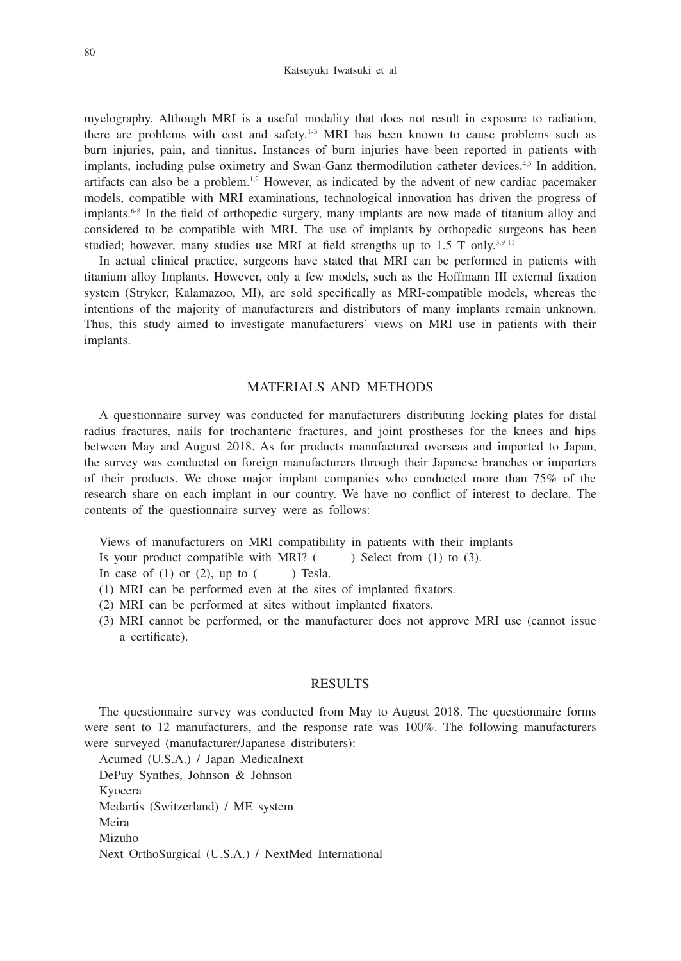Katsuyuki Iwatsuki et al

myelography. Although MRI is a useful modality that does not result in exposure to radiation, there are problems with cost and safety.<sup>1-3</sup> MRI has been known to cause problems such as burn injuries, pain, and tinnitus. Instances of burn injuries have been reported in patients with implants, including pulse oximetry and Swan-Ganz thermodilution catheter devices.<sup>4,5</sup> In addition, artifacts can also be a problem.<sup>1,2</sup> However, as indicated by the advent of new cardiac pacemaker models, compatible with MRI examinations, technological innovation has driven the progress of implants.6-8 In the field of orthopedic surgery, many implants are now made of titanium alloy and considered to be compatible with MRI. The use of implants by orthopedic surgeons has been studied; however, many studies use MRI at field strengths up to  $1.5$  T only.<sup>3,9-11</sup>

In actual clinical practice, surgeons have stated that MRI can be performed in patients with titanium alloy Implants. However, only a few models, such as the Hoffmann III external fixation system (Stryker, Kalamazoo, MI), are sold specifically as MRI-compatible models, whereas the intentions of the majority of manufacturers and distributors of many implants remain unknown. Thus, this study aimed to investigate manufacturers' views on MRI use in patients with their implants.

### MATERIALS AND METHODS

A questionnaire survey was conducted for manufacturers distributing locking plates for distal radius fractures, nails for trochanteric fractures, and joint prostheses for the knees and hips between May and August 2018. As for products manufactured overseas and imported to Japan, the survey was conducted on foreign manufacturers through their Japanese branches or importers of their products. We chose major implant companies who conducted more than 75% of the research share on each implant in our country. We have no conflict of interest to declare. The contents of the questionnaire survey were as follows:

- Views of manufacturers on MRI compatibility in patients with their implants
- Is your product compatible with MRI?  $($  ) Select from  $(1)$  to  $(3)$ .

In case of  $(1)$  or  $(2)$ , up to  $($ ) Tesla.

- (1) MRI can be performed even at the sites of implanted fixators.
- (2) MRI can be performed at sites without implanted fixators.
- (3) MRI cannot be performed, or the manufacturer does not approve MRI use (cannot issue a certificate).

#### **RESULTS**

The questionnaire survey was conducted from May to August 2018. The questionnaire forms were sent to 12 manufacturers, and the response rate was 100%. The following manufacturers were surveyed (manufacturer/Japanese distributers):

Acumed (U.S.A.) / Japan Medicalnext DePuy Synthes, Johnson & Johnson Kyocera Medartis (Switzerland) / ME system Meira Mizuho Next OrthoSurgical (U.S.A.) / NextMed International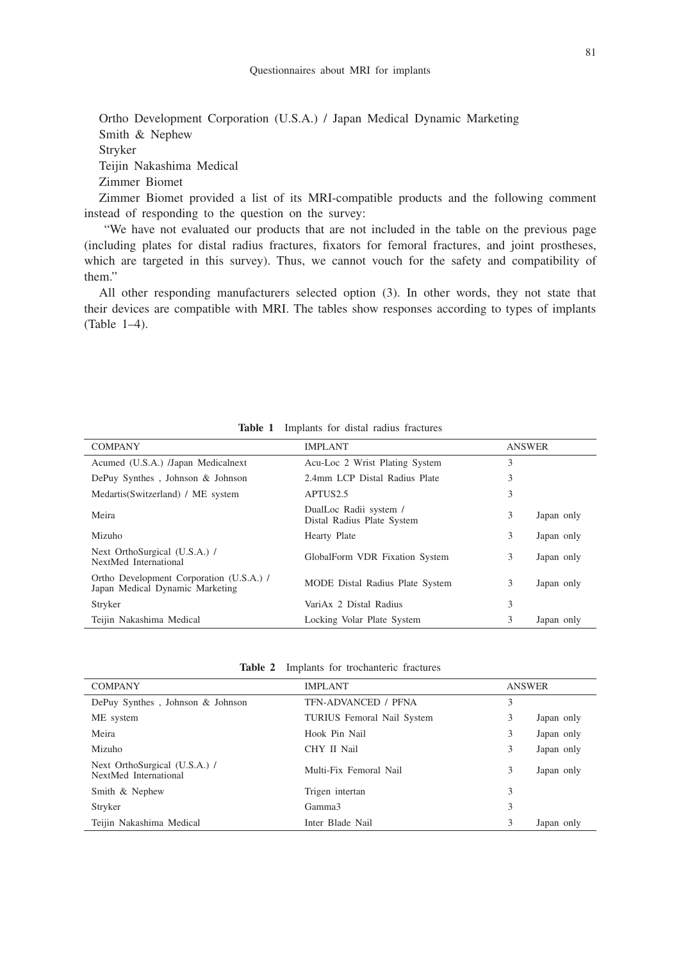Ortho Development Corporation (U.S.A.) / Japan Medical Dynamic Marketing Smith & Nephew Stryker Teijin Nakashima Medical Zimmer Biomet

Zimmer Biomet provided a list of its MRI-compatible products and the following comment instead of responding to the question on the survey:

 "We have not evaluated our products that are not included in the table on the previous page (including plates for distal radius fractures, fixators for femoral fractures, and joint prostheses, which are targeted in this survey). Thus, we cannot vouch for the safety and compatibility of them."

All other responding manufacturers selected option (3). In other words, they not state that their devices are compatible with MRI. The tables show responses according to types of implants (Table 1–4).

| <b>COMPANY</b>                                                              | <b>IMPLANT</b>                                       |   | <b>ANSWER</b> |  |
|-----------------------------------------------------------------------------|------------------------------------------------------|---|---------------|--|
| Acumed (U.S.A.) /Japan Medicalnext                                          | Acu-Loc 2 Wrist Plating System                       | 3 |               |  |
| DePuy Synthes, Johnson & Johnson                                            | 2.4mm LCP Distal Radius Plate                        | 3 |               |  |
| Medartis(Switzerland) / ME system                                           | APTUS <sub>2.5</sub>                                 | 3 |               |  |
| Meira                                                                       | DualLoc Radii system /<br>Distal Radius Plate System | 3 | Japan only    |  |
| Mizuho                                                                      | Hearty Plate                                         | 3 | Japan only    |  |
| Next OrthoSurgical (U.S.A.) /<br>NextMed International                      | GlobalForm VDR Fixation System                       | 3 | Japan only    |  |
| Ortho Development Corporation (U.S.A.) /<br>Japan Medical Dynamic Marketing | MODE Distal Radius Plate System                      | 3 | Japan only    |  |
| Stryker                                                                     | VariAx 2 Distal Radius                               | 3 |               |  |
| Teijin Nakashima Medical                                                    | Locking Volar Plate System                           | 3 | Japan only    |  |

**Table 1** Implants for distal radius fractures

|  |  |  |  | Table 2 Implants for trochanteric fractures |  |
|--|--|--|--|---------------------------------------------|--|
|--|--|--|--|---------------------------------------------|--|

| <b>COMPANY</b>                                         | <b>IMPLANT</b>             |   | <b>ANSWER</b> |  |
|--------------------------------------------------------|----------------------------|---|---------------|--|
| DePuy Synthes, Johnson & Johnson                       | TFN-ADVANCED / PFNA        | 3 |               |  |
| ME system                                              | TURIUS Femoral Nail System | 3 | Japan only    |  |
| Meira                                                  | Hook Pin Nail              | 3 | Japan only    |  |
| Mizuho                                                 | CHY II Nail                | 3 | Japan only    |  |
| Next OrthoSurgical (U.S.A.) /<br>NextMed International | Multi-Fix Femoral Nail     | 3 | Japan only    |  |
| Smith & Nephew                                         | Trigen intertan            | 3 |               |  |
| Stryker                                                | Gamma3                     | 3 |               |  |
| Teijin Nakashima Medical                               | Inter Blade Nail           | 3 | Japan only    |  |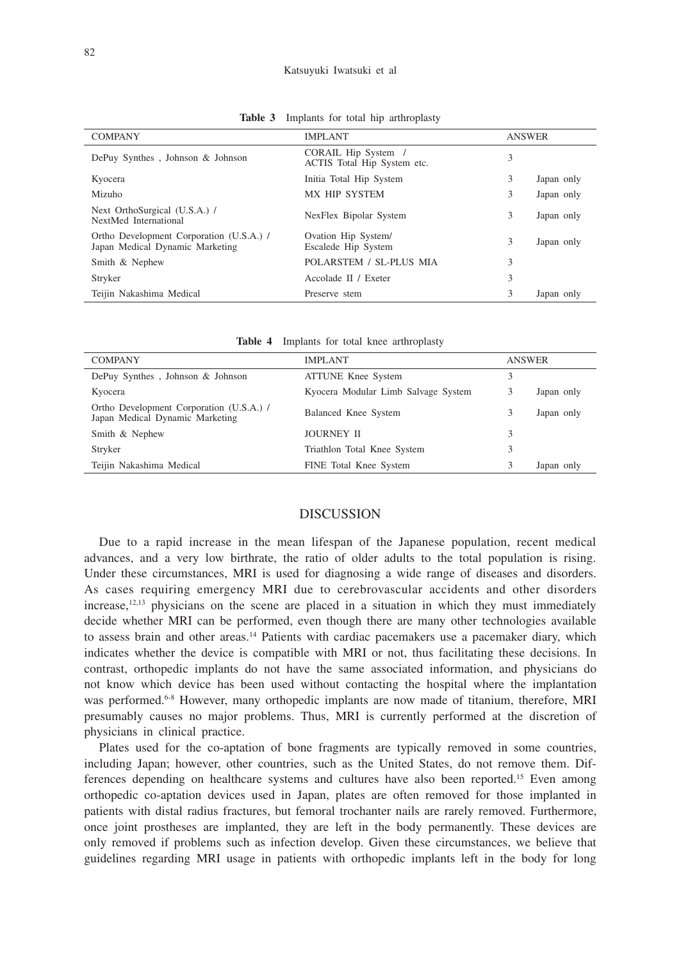#### Katsuyuki Iwatsuki et al

| <b>COMPANY</b>                                                              | <b>IMPLANT</b>                                     |   | <b>ANSWER</b> |  |
|-----------------------------------------------------------------------------|----------------------------------------------------|---|---------------|--|
| DePuy Synthes, Johnson & Johnson                                            | CORAIL Hip System /<br>ACTIS Total Hip System etc. | 3 |               |  |
| Kyocera                                                                     | Initia Total Hip System                            | 3 | Japan only    |  |
| Mizuho                                                                      | MX HIP SYSTEM                                      | 3 | Japan only    |  |
| Next OrthoSurgical (U.S.A.) /<br>NextMed International                      | NexFlex Bipolar System                             | 3 | Japan only    |  |
| Ortho Development Corporation (U.S.A.) /<br>Japan Medical Dynamic Marketing | Ovation Hip System/<br>Escalede Hip System         | 3 | Japan only    |  |
| Smith & Nephew                                                              | POLARSTEM / SL-PLUS MIA                            | 3 |               |  |
| Stryker                                                                     | Accolade II / Exeter                               | 3 |               |  |
| Teijin Nakashima Medical                                                    | Preserve stem                                      | 3 | Japan only    |  |

**Table 3** Implants for total hip arthroplasty

| Table 4 |  |  |  |  | Implants for total knee arthroplasty |
|---------|--|--|--|--|--------------------------------------|
|---------|--|--|--|--|--------------------------------------|

| <b>COMPANY</b>                                                              | <b>IMPLANT</b>                      |   | <b>ANSWER</b> |  |
|-----------------------------------------------------------------------------|-------------------------------------|---|---------------|--|
| DePuy Synthes, Johnson & Johnson                                            | <b>ATTUNE Knee System</b>           | 3 |               |  |
| Kyocera                                                                     | Kyocera Modular Limb Salvage System | 3 | Japan only    |  |
| Ortho Development Corporation (U.S.A.) /<br>Japan Medical Dynamic Marketing | Balanced Knee System                | 3 | Japan only    |  |
| Smith & Nephew                                                              | JOURNEY II                          | 3 |               |  |
| Stryker                                                                     | Triathlon Total Knee System         | 3 |               |  |
| Teijin Nakashima Medical                                                    | FINE Total Knee System              | 3 | Japan only    |  |

#### DISCUSSION

Due to a rapid increase in the mean lifespan of the Japanese population, recent medical advances, and a very low birthrate, the ratio of older adults to the total population is rising. Under these circumstances, MRI is used for diagnosing a wide range of diseases and disorders. As cases requiring emergency MRI due to cerebrovascular accidents and other disorders increase, $12,13$  physicians on the scene are placed in a situation in which they must immediately decide whether MRI can be performed, even though there are many other technologies available to assess brain and other areas.<sup>14</sup> Patients with cardiac pacemakers use a pacemaker diary, which indicates whether the device is compatible with MRI or not, thus facilitating these decisions. In contrast, orthopedic implants do not have the same associated information, and physicians do not know which device has been used without contacting the hospital where the implantation was performed.<sup>6-8</sup> However, many orthopedic implants are now made of titanium, therefore, MRI presumably causes no major problems. Thus, MRI is currently performed at the discretion of physicians in clinical practice.

Plates used for the co-aptation of bone fragments are typically removed in some countries, including Japan; however, other countries, such as the United States, do not remove them. Differences depending on healthcare systems and cultures have also been reported.15 Even among orthopedic co-aptation devices used in Japan, plates are often removed for those implanted in patients with distal radius fractures, but femoral trochanter nails are rarely removed. Furthermore, once joint prostheses are implanted, they are left in the body permanently. These devices are only removed if problems such as infection develop. Given these circumstances, we believe that guidelines regarding MRI usage in patients with orthopedic implants left in the body for long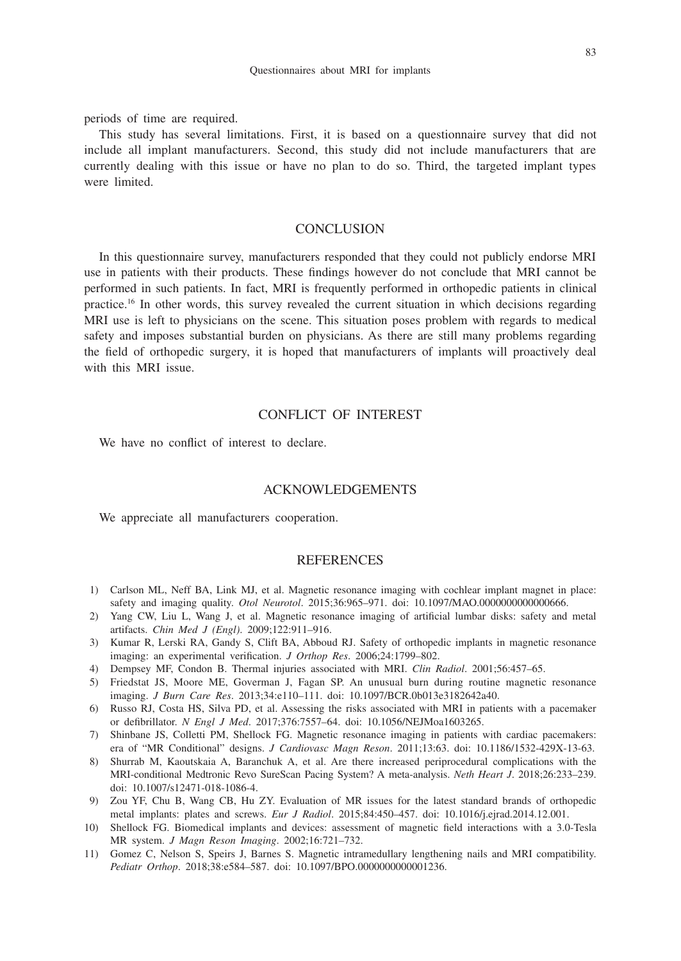periods of time are required.

This study has several limitations. First, it is based on a questionnaire survey that did not include all implant manufacturers. Second, this study did not include manufacturers that are currently dealing with this issue or have no plan to do so. Third, the targeted implant types were limited.

### **CONCLUSION**

In this questionnaire survey, manufacturers responded that they could not publicly endorse MRI use in patients with their products. These findings however do not conclude that MRI cannot be performed in such patients. In fact, MRI is frequently performed in orthopedic patients in clinical practice.16 In other words, this survey revealed the current situation in which decisions regarding MRI use is left to physicians on the scene. This situation poses problem with regards to medical safety and imposes substantial burden on physicians. As there are still many problems regarding the field of orthopedic surgery, it is hoped that manufacturers of implants will proactively deal with this MRI issue.

## CONFLICT OF INTEREST

We have no conflict of interest to declare.

#### ACKNOWLEDGEMENTS

We appreciate all manufacturers cooperation.

#### **REFERENCES**

- 1) Carlson ML, Neff BA, Link MJ, et al. Magnetic resonance imaging with cochlear implant magnet in place: safety and imaging quality. *Otol Neurotol*. 2015;36:965–971. doi: 10.1097/MAO.0000000000000666.
- 2) Yang CW, Liu L, Wang J, et al. Magnetic resonance imaging of artificial lumbar disks: safety and metal artifacts. *Chin Med J (Engl)*. 2009;122:911–916.
- 3) Kumar R, Lerski RA, Gandy S, Clift BA, Abboud RJ. Safety of orthopedic implants in magnetic resonance imaging: an experimental verification. *J Orthop Res*. 2006;24:1799–802.
- 4) Dempsey MF, Condon B. Thermal injuries associated with MRI. *Clin Radiol*. 2001;56:457–65.
- 5) Friedstat JS, Moore ME, Goverman J, Fagan SP. An unusual burn during routine magnetic resonance imaging. *J Burn Care Res*. 2013;34:e110–111. doi: 10.1097/BCR.0b013e3182642a40.
- 6) Russo RJ, Costa HS, Silva PD, et al. Assessing the risks associated with MRI in patients with a pacemaker or defibrillator. *N Engl J Med*. 2017;376:7557–64. doi: 10.1056/NEJMoa1603265.
- 7) Shinbane JS, Colletti PM, Shellock FG. Magnetic resonance imaging in patients with cardiac pacemakers: era of "MR Conditional" designs. *J Cardiovasc Magn Reson*. 2011;13:63. doi: 10.1186/1532-429X-13-63.
- 8) Shurrab M, Kaoutskaia A, Baranchuk A, et al. Are there increased periprocedural complications with the MRI-conditional Medtronic Revo SureScan Pacing System? A meta-analysis. *Neth Heart J*. 2018;26:233–239. doi: 10.1007/s12471-018-1086-4.
- 9) Zou YF, Chu B, Wang CB, Hu ZY. Evaluation of MR issues for the latest standard brands of orthopedic metal implants: plates and screws. *Eur J Radiol*. 2015;84:450–457. doi: 10.1016/j.ejrad.2014.12.001.
- 10) Shellock FG. Biomedical implants and devices: assessment of magnetic field interactions with a 3.0-Tesla MR system. *J Magn Reson Imaging*. 2002;16:721–732.
- 11) Gomez C, Nelson S, Speirs J, Barnes S. Magnetic intramedullary lengthening nails and MRI compatibility. *Pediatr Orthop*. 2018;38:e584–587. doi: 10.1097/BPO.0000000000001236.